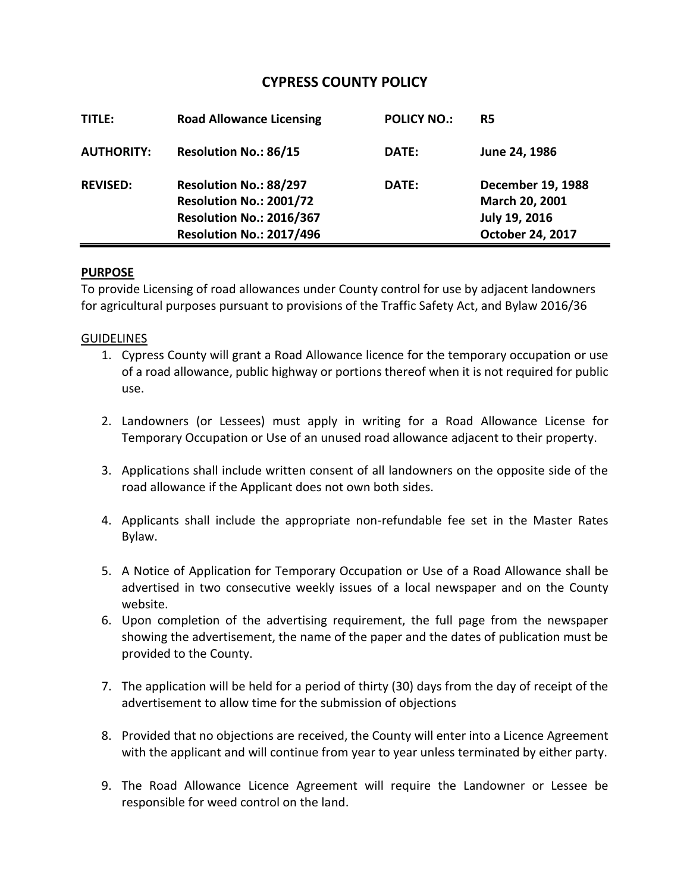## **CYPRESS COUNTY POLICY**

| TITLE:            | <b>Road Allowance Licensing</b>                                                                           | <b>POLICY NO.:</b> | R5                                                                       |
|-------------------|-----------------------------------------------------------------------------------------------------------|--------------------|--------------------------------------------------------------------------|
| <b>AUTHORITY:</b> | <b>Resolution No.: 86/15</b>                                                                              | DATE:              | June 24, 1986                                                            |
| <b>REVISED:</b>   | Resolution No.: 88/297<br>Resolution No.: 2001/72<br>Resolution No.: 2016/367<br>Resolution No.: 2017/496 | DATE:              | December 19, 1988<br>March 20, 2001<br>July 19, 2016<br>October 24, 2017 |

## **PURPOSE**

To provide Licensing of road allowances under County control for use by adjacent landowners for agricultural purposes pursuant to provisions of the Traffic Safety Act, and Bylaw 2016/36

## GUIDELINES

- 1. Cypress County will grant a Road Allowance licence for the temporary occupation or use of a road allowance, public highway or portions thereof when it is not required for public use.
- 2. Landowners (or Lessees) must apply in writing for a Road Allowance License for Temporary Occupation or Use of an unused road allowance adjacent to their property.
- 3. Applications shall include written consent of all landowners on the opposite side of the road allowance if the Applicant does not own both sides.
- 4. Applicants shall include the appropriate non-refundable fee set in the Master Rates Bylaw.
- 5. A Notice of Application for Temporary Occupation or Use of a Road Allowance shall be advertised in two consecutive weekly issues of a local newspaper and on the County website.
- 6. Upon completion of the advertising requirement, the full page from the newspaper showing the advertisement, the name of the paper and the dates of publication must be provided to the County.
- 7. The application will be held for a period of thirty (30) days from the day of receipt of the advertisement to allow time for the submission of objections
- 8. Provided that no objections are received, the County will enter into a Licence Agreement with the applicant and will continue from year to year unless terminated by either party.
- 9. The Road Allowance Licence Agreement will require the Landowner or Lessee be responsible for weed control on the land.